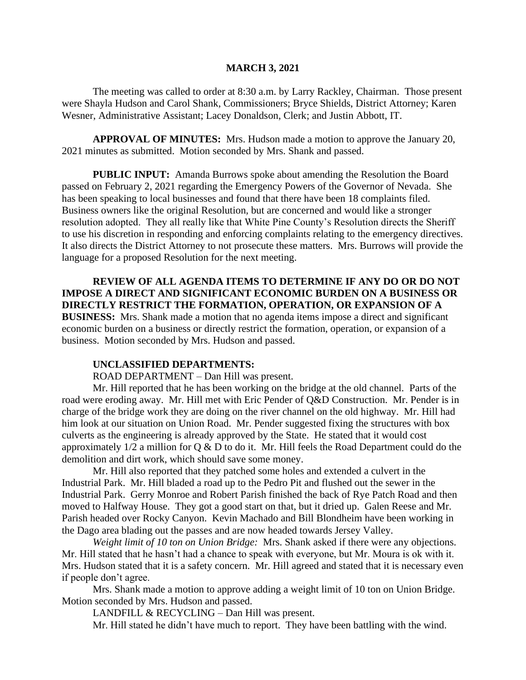#### **MARCH 3, 2021**

The meeting was called to order at 8:30 a.m. by Larry Rackley, Chairman. Those present were Shayla Hudson and Carol Shank, Commissioners; Bryce Shields, District Attorney; Karen Wesner, Administrative Assistant; Lacey Donaldson, Clerk; and Justin Abbott, IT.

**APPROVAL OF MINUTES:** Mrs. Hudson made a motion to approve the January 20, 2021 minutes as submitted. Motion seconded by Mrs. Shank and passed.

 **PUBLIC INPUT:** Amanda Burrows spoke about amending the Resolution the Board passed on February 2, 2021 regarding the Emergency Powers of the Governor of Nevada. She has been speaking to local businesses and found that there have been 18 complaints filed. Business owners like the original Resolution, but are concerned and would like a stronger resolution adopted. They all really like that White Pine County's Resolution directs the Sheriff to use his discretion in responding and enforcing complaints relating to the emergency directives. It also directs the District Attorney to not prosecute these matters. Mrs. Burrows will provide the language for a proposed Resolution for the next meeting.

**REVIEW OF ALL AGENDA ITEMS TO DETERMINE IF ANY DO OR DO NOT IMPOSE A DIRECT AND SIGNIFICANT ECONOMIC BURDEN ON A BUSINESS OR DIRECTLY RESTRICT THE FORMATION, OPERATION, OR EXPANSION OF A BUSINESS:** Mrs. Shank made a motion that no agenda items impose a direct and significant economic burden on a business or directly restrict the formation, operation, or expansion of a business. Motion seconded by Mrs. Hudson and passed.

## **UNCLASSIFIED DEPARTMENTS:**

ROAD DEPARTMENT – Dan Hill was present.

Mr. Hill reported that he has been working on the bridge at the old channel. Parts of the road were eroding away. Mr. Hill met with Eric Pender of Q&D Construction. Mr. Pender is in charge of the bridge work they are doing on the river channel on the old highway. Mr. Hill had him look at our situation on Union Road. Mr. Pender suggested fixing the structures with box culverts as the engineering is already approved by the State. He stated that it would cost approximately  $1/2$  a million for Q & D to do it. Mr. Hill feels the Road Department could do the demolition and dirt work, which should save some money.

Mr. Hill also reported that they patched some holes and extended a culvert in the Industrial Park. Mr. Hill bladed a road up to the Pedro Pit and flushed out the sewer in the Industrial Park. Gerry Monroe and Robert Parish finished the back of Rye Patch Road and then moved to Halfway House. They got a good start on that, but it dried up. Galen Reese and Mr. Parish headed over Rocky Canyon. Kevin Machado and Bill Blondheim have been working in the Dago area blading out the passes and are now headed towards Jersey Valley.

*Weight limit of 10 ton on Union Bridge:* Mrs. Shank asked if there were any objections. Mr. Hill stated that he hasn't had a chance to speak with everyone, but Mr. Moura is ok with it. Mrs. Hudson stated that it is a safety concern. Mr. Hill agreed and stated that it is necessary even if people don't agree.

Mrs. Shank made a motion to approve adding a weight limit of 10 ton on Union Bridge. Motion seconded by Mrs. Hudson and passed.

LANDFILL & RECYCLING – Dan Hill was present.

Mr. Hill stated he didn't have much to report. They have been battling with the wind.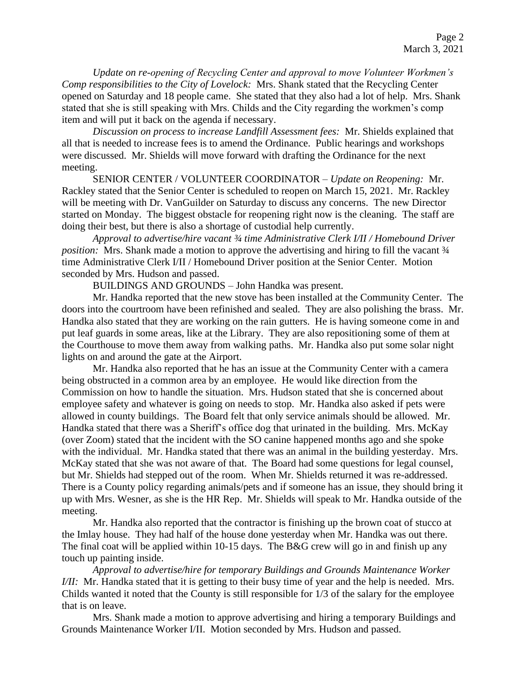*Update on re-opening of Recycling Center and approval to move Volunteer Workmen's Comp responsibilities to the City of Lovelock:* Mrs. Shank stated that the Recycling Center opened on Saturday and 18 people came. She stated that they also had a lot of help. Mrs. Shank stated that she is still speaking with Mrs. Childs and the City regarding the workmen's comp item and will put it back on the agenda if necessary.

*Discussion on process to increase Landfill Assessment fees:* Mr. Shields explained that all that is needed to increase fees is to amend the Ordinance. Public hearings and workshops were discussed. Mr. Shields will move forward with drafting the Ordinance for the next meeting.

SENIOR CENTER / VOLUNTEER COORDINATOR – *Update on Reopening:* Mr. Rackley stated that the Senior Center is scheduled to reopen on March 15, 2021. Mr. Rackley will be meeting with Dr. VanGuilder on Saturday to discuss any concerns. The new Director started on Monday. The biggest obstacle for reopening right now is the cleaning. The staff are doing their best, but there is also a shortage of custodial help currently.

*Approval to advertise/hire vacant ¾ time Administrative Clerk I/II / Homebound Driver position:* Mrs. Shank made a motion to approve the advertising and hiring to fill the vacant  $\frac{3}{4}$ time Administrative Clerk I/II / Homebound Driver position at the Senior Center. Motion seconded by Mrs. Hudson and passed.

BUILDINGS AND GROUNDS – John Handka was present.

Mr. Handka reported that the new stove has been installed at the Community Center. The doors into the courtroom have been refinished and sealed. They are also polishing the brass. Mr. Handka also stated that they are working on the rain gutters. He is having someone come in and put leaf guards in some areas, like at the Library. They are also repositioning some of them at the Courthouse to move them away from walking paths. Mr. Handka also put some solar night lights on and around the gate at the Airport.

Mr. Handka also reported that he has an issue at the Community Center with a camera being obstructed in a common area by an employee. He would like direction from the Commission on how to handle the situation. Mrs. Hudson stated that she is concerned about employee safety and whatever is going on needs to stop. Mr. Handka also asked if pets were allowed in county buildings. The Board felt that only service animals should be allowed. Mr. Handka stated that there was a Sheriff's office dog that urinated in the building. Mrs. McKay (over Zoom) stated that the incident with the SO canine happened months ago and she spoke with the individual. Mr. Handka stated that there was an animal in the building yesterday. Mrs. McKay stated that she was not aware of that. The Board had some questions for legal counsel, but Mr. Shields had stepped out of the room. When Mr. Shields returned it was re-addressed. There is a County policy regarding animals/pets and if someone has an issue, they should bring it up with Mrs. Wesner, as she is the HR Rep. Mr. Shields will speak to Mr. Handka outside of the meeting.

Mr. Handka also reported that the contractor is finishing up the brown coat of stucco at the Imlay house. They had half of the house done yesterday when Mr. Handka was out there. The final coat will be applied within 10-15 days. The B&G crew will go in and finish up any touch up painting inside.

*Approval to advertise/hire for temporary Buildings and Grounds Maintenance Worker I/II:* Mr. Handka stated that it is getting to their busy time of year and the help is needed. Mrs. Childs wanted it noted that the County is still responsible for 1/3 of the salary for the employee that is on leave.

Mrs. Shank made a motion to approve advertising and hiring a temporary Buildings and Grounds Maintenance Worker I/II. Motion seconded by Mrs. Hudson and passed.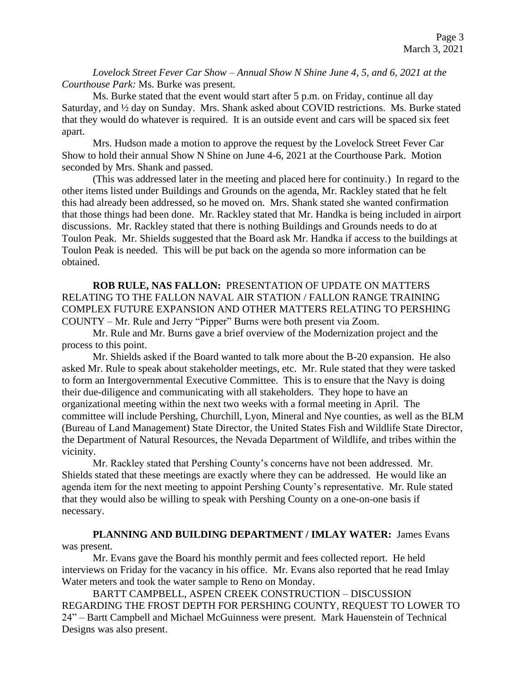*Lovelock Street Fever Car Show – Annual Show N Shine June 4, 5, and 6, 2021 at the Courthouse Park:* Ms. Burke was present.

Ms. Burke stated that the event would start after 5 p.m. on Friday, continue all day Saturday, and ½ day on Sunday. Mrs. Shank asked about COVID restrictions. Ms. Burke stated that they would do whatever is required. It is an outside event and cars will be spaced six feet apart.

Mrs. Hudson made a motion to approve the request by the Lovelock Street Fever Car Show to hold their annual Show N Shine on June 4-6, 2021 at the Courthouse Park. Motion seconded by Mrs. Shank and passed.

(This was addressed later in the meeting and placed here for continuity.) In regard to the other items listed under Buildings and Grounds on the agenda, Mr. Rackley stated that he felt this had already been addressed, so he moved on. Mrs. Shank stated she wanted confirmation that those things had been done. Mr. Rackley stated that Mr. Handka is being included in airport discussions. Mr. Rackley stated that there is nothing Buildings and Grounds needs to do at Toulon Peak. Mr. Shields suggested that the Board ask Mr. Handka if access to the buildings at Toulon Peak is needed. This will be put back on the agenda so more information can be obtained.

**ROB RULE, NAS FALLON:** PRESENTATION OF UPDATE ON MATTERS RELATING TO THE FALLON NAVAL AIR STATION / FALLON RANGE TRAINING COMPLEX FUTURE EXPANSION AND OTHER MATTERS RELATING TO PERSHING COUNTY – Mr. Rule and Jerry "Pipper" Burns were both present via Zoom.

Mr. Rule and Mr. Burns gave a brief overview of the Modernization project and the process to this point.

Mr. Shields asked if the Board wanted to talk more about the B-20 expansion. He also asked Mr. Rule to speak about stakeholder meetings, etc. Mr. Rule stated that they were tasked to form an Intergovernmental Executive Committee. This is to ensure that the Navy is doing their due-diligence and communicating with all stakeholders. They hope to have an organizational meeting within the next two weeks with a formal meeting in April. The committee will include Pershing, Churchill, Lyon, Mineral and Nye counties, as well as the BLM (Bureau of Land Management) State Director, the United States Fish and Wildlife State Director, the Department of Natural Resources, the Nevada Department of Wildlife, and tribes within the vicinity.

Mr. Rackley stated that Pershing County's concerns have not been addressed. Mr. Shields stated that these meetings are exactly where they can be addressed. He would like an agenda item for the next meeting to appoint Pershing County's representative. Mr. Rule stated that they would also be willing to speak with Pershing County on a one-on-one basis if necessary.

# **PLANNING AND BUILDING DEPARTMENT / IMLAY WATER:** James Evans was present.

Mr. Evans gave the Board his monthly permit and fees collected report. He held interviews on Friday for the vacancy in his office. Mr. Evans also reported that he read Imlay Water meters and took the water sample to Reno on Monday.

BARTT CAMPBELL, ASPEN CREEK CONSTRUCTION – DISCUSSION REGARDING THE FROST DEPTH FOR PERSHING COUNTY, REQUEST TO LOWER TO 24" – Bartt Campbell and Michael McGuinness were present. Mark Hauenstein of Technical Designs was also present.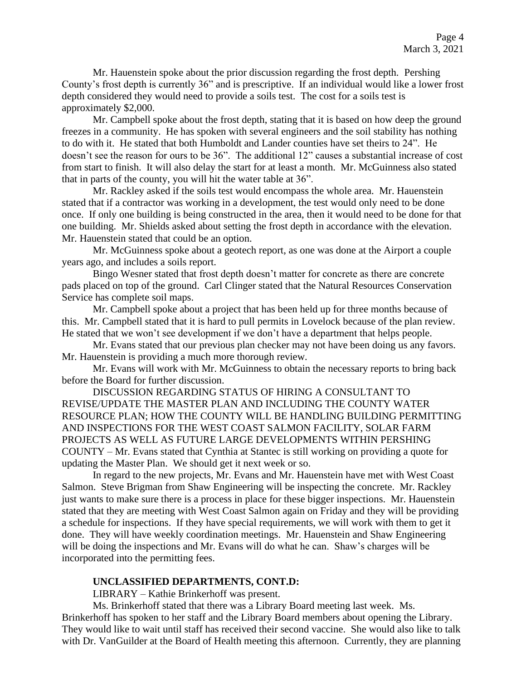Mr. Hauenstein spoke about the prior discussion regarding the frost depth. Pershing County's frost depth is currently 36" and is prescriptive. If an individual would like a lower frost depth considered they would need to provide a soils test. The cost for a soils test is approximately \$2,000.

Mr. Campbell spoke about the frost depth, stating that it is based on how deep the ground freezes in a community. He has spoken with several engineers and the soil stability has nothing to do with it. He stated that both Humboldt and Lander counties have set theirs to 24". He doesn't see the reason for ours to be 36". The additional 12" causes a substantial increase of cost from start to finish. It will also delay the start for at least a month. Mr. McGuinness also stated that in parts of the county, you will hit the water table at 36".

Mr. Rackley asked if the soils test would encompass the whole area. Mr. Hauenstein stated that if a contractor was working in a development, the test would only need to be done once. If only one building is being constructed in the area, then it would need to be done for that one building. Mr. Shields asked about setting the frost depth in accordance with the elevation. Mr. Hauenstein stated that could be an option.

Mr. McGuinness spoke about a geotech report, as one was done at the Airport a couple years ago, and includes a soils report.

Bingo Wesner stated that frost depth doesn't matter for concrete as there are concrete pads placed on top of the ground. Carl Clinger stated that the Natural Resources Conservation Service has complete soil maps.

Mr. Campbell spoke about a project that has been held up for three months because of this. Mr. Campbell stated that it is hard to pull permits in Lovelock because of the plan review. He stated that we won't see development if we don't have a department that helps people.

Mr. Evans stated that our previous plan checker may not have been doing us any favors. Mr. Hauenstein is providing a much more thorough review.

Mr. Evans will work with Mr. McGuinness to obtain the necessary reports to bring back before the Board for further discussion.

DISCUSSION REGARDING STATUS OF HIRING A CONSULTANT TO REVISE/UPDATE THE MASTER PLAN AND INCLUDING THE COUNTY WATER RESOURCE PLAN; HOW THE COUNTY WILL BE HANDLING BUILDING PERMITTING AND INSPECTIONS FOR THE WEST COAST SALMON FACILITY, SOLAR FARM PROJECTS AS WELL AS FUTURE LARGE DEVELOPMENTS WITHIN PERSHING COUNTY – Mr. Evans stated that Cynthia at Stantec is still working on providing a quote for updating the Master Plan. We should get it next week or so.

In regard to the new projects, Mr. Evans and Mr. Hauenstein have met with West Coast Salmon. Steve Brigman from Shaw Engineering will be inspecting the concrete. Mr. Rackley just wants to make sure there is a process in place for these bigger inspections. Mr. Hauenstein stated that they are meeting with West Coast Salmon again on Friday and they will be providing a schedule for inspections. If they have special requirements, we will work with them to get it done. They will have weekly coordination meetings. Mr. Hauenstein and Shaw Engineering will be doing the inspections and Mr. Evans will do what he can. Shaw's charges will be incorporated into the permitting fees.

#### **UNCLASSIFIED DEPARTMENTS, CONT.D:**

LIBRARY – Kathie Brinkerhoff was present.

Ms. Brinkerhoff stated that there was a Library Board meeting last week. Ms. Brinkerhoff has spoken to her staff and the Library Board members about opening the Library. They would like to wait until staff has received their second vaccine. She would also like to talk with Dr. VanGuilder at the Board of Health meeting this afternoon. Currently, they are planning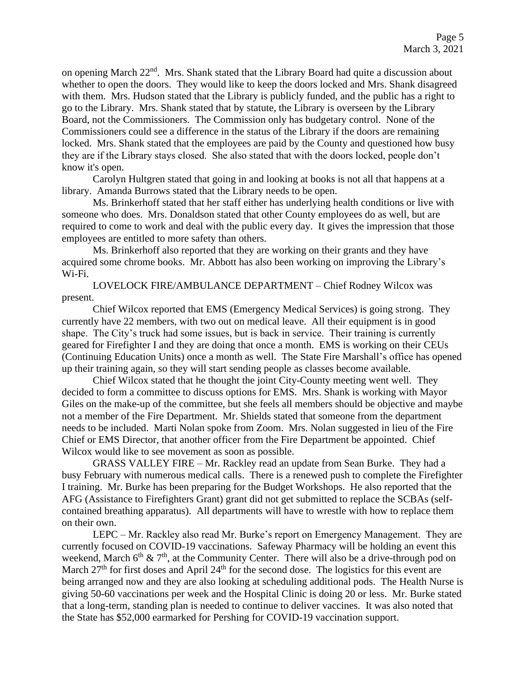on opening March 22<sup>nd</sup>. Mrs. Shank stated that the Library Board had quite a discussion about whether to open the doors. They would like to keep the doors locked and Mrs. Shank disagreed with them. Mrs. Hudson stated that the Library is publicly funded, and the public has a right to go to the Library. Mrs. Shank stated that by statute, the Library is overseen by the Library Board, not the Commissioners. The Commission only has budgetary control. None of the Commissioners could see a difference in the status of the Library if the doors are remaining locked. Mrs. Shank stated that the employees are paid by the County and questioned how busy they are if the Library stays closed. She also stated that with the doors locked, people don't know it's open.

Carolyn Hultgren stated that going in and looking at books is not all that happens at a library. Amanda Burrows stated that the Library needs to be open.

Ms. Brinkerhoff stated that her staff either has underlying health conditions or live with someone who does. Mrs. Donaldson stated that other County employees do as well, but are required to come to work and deal with the public every day. It gives the impression that those employees are entitled to more safety than others.

Ms. Brinkerhoff also reported that they are working on their grants and they have acquired some chrome books. Mr. Abbott has also been working on improving the Library's Wi-Fi.

LOVELOCK FIRE/AMBULANCE DEPARTMENT – Chief Rodney Wilcox was present.

Chief Wilcox reported that EMS (Emergency Medical Services) is going strong. They currently have 22 members, with two out on medical leave. All their equipment is in good shape. The City's truck had some issues, but is back in service. Their training is currently geared for Firefighter I and they are doing that once a month. EMS is working on their CEUs (Continuing Education Units) once a month as well. The State Fire Marshall's office has opened up their training again, so they will start sending people as classes become available.

Chief Wilcox stated that he thought the joint City-County meeting went well. They decided to form a committee to discuss options for EMS. Mrs. Shank is working with Mayor Giles on the make-up of the committee, but she feels all members should be objective and maybe not a member of the Fire Department. Mr. Shields stated that someone from the department needs to be included. Marti Nolan spoke from Zoom. Mrs. Nolan suggested in lieu of the Fire Chief or EMS Director, that another officer from the Fire Department be appointed. Chief Wilcox would like to see movement as soon as possible.

GRASS VALLEY FIRE – Mr. Rackley read an update from Sean Burke. They had a busy February with numerous medical calls. There is a renewed push to complete the Firefighter I training. Mr. Burke has been preparing for the Budget Workshops. He also reported that the AFG (Assistance to Firefighters Grant) grant did not get submitted to replace the SCBAs (selfcontained breathing apparatus). All departments will have to wrestle with how to replace them on their own.

LEPC – Mr. Rackley also read Mr. Burke's report on Emergency Management. They are currently focused on COVID-19 vaccinations. Safeway Pharmacy will be holding an event this weekend, March  $6<sup>th</sup>$  &  $7<sup>th</sup>$ , at the Community Center. There will also be a drive-through pod on March  $27<sup>th</sup>$  for first doses and April  $24<sup>th</sup>$  for the second dose. The logistics for this event are being arranged now and they are also looking at scheduling additional pods. The Health Nurse is giving 50-60 vaccinations per week and the Hospital Clinic is doing 20 or less. Mr. Burke stated that a long-term, standing plan is needed to continue to deliver vaccines. It was also noted that the State has \$52,000 earmarked for Pershing for COVID-19 vaccination support.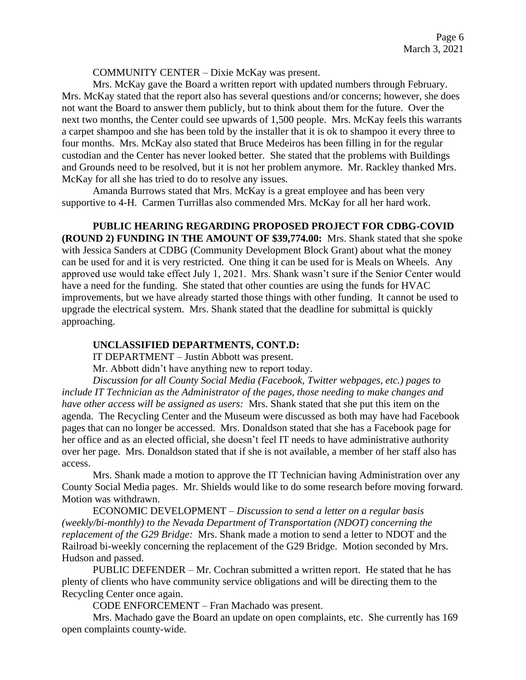COMMUNITY CENTER – Dixie McKay was present.

Mrs. McKay gave the Board a written report with updated numbers through February. Mrs. McKay stated that the report also has several questions and/or concerns; however, she does not want the Board to answer them publicly, but to think about them for the future. Over the next two months, the Center could see upwards of 1,500 people. Mrs. McKay feels this warrants a carpet shampoo and she has been told by the installer that it is ok to shampoo it every three to four months. Mrs. McKay also stated that Bruce Medeiros has been filling in for the regular custodian and the Center has never looked better. She stated that the problems with Buildings and Grounds need to be resolved, but it is not her problem anymore. Mr. Rackley thanked Mrs. McKay for all she has tried to do to resolve any issues.

Amanda Burrows stated that Mrs. McKay is a great employee and has been very supportive to 4-H. Carmen Turrillas also commended Mrs. McKay for all her hard work.

**PUBLIC HEARING REGARDING PROPOSED PROJECT FOR CDBG-COVID (ROUND 2) FUNDING IN THE AMOUNT OF \$39,774.00:** Mrs. Shank stated that she spoke with Jessica Sanders at CDBG (Community Development Block Grant) about what the money can be used for and it is very restricted. One thing it can be used for is Meals on Wheels. Any approved use would take effect July 1, 2021. Mrs. Shank wasn't sure if the Senior Center would have a need for the funding. She stated that other counties are using the funds for HVAC improvements, but we have already started those things with other funding. It cannot be used to upgrade the electrical system. Mrs. Shank stated that the deadline for submittal is quickly approaching.

#### **UNCLASSIFIED DEPARTMENTS, CONT.D:**

IT DEPARTMENT – Justin Abbott was present.

Mr. Abbott didn't have anything new to report today.

*Discussion for all County Social Media (Facebook, Twitter webpages, etc.) pages to include IT Technician as the Administrator of the pages, those needing to make changes and have other access will be assigned as users:* Mrs. Shank stated that she put this item on the agenda. The Recycling Center and the Museum were discussed as both may have had Facebook pages that can no longer be accessed. Mrs. Donaldson stated that she has a Facebook page for her office and as an elected official, she doesn't feel IT needs to have administrative authority over her page. Mrs. Donaldson stated that if she is not available, a member of her staff also has access.

Mrs. Shank made a motion to approve the IT Technician having Administration over any County Social Media pages. Mr. Shields would like to do some research before moving forward. Motion was withdrawn.

ECONOMIC DEVELOPMENT – *Discussion to send a letter on a regular basis (weekly/bi-monthly) to the Nevada Department of Transportation (NDOT) concerning the replacement of the G29 Bridge:* Mrs. Shank made a motion to send a letter to NDOT and the Railroad bi-weekly concerning the replacement of the G29 Bridge. Motion seconded by Mrs. Hudson and passed.

PUBLIC DEFENDER – Mr. Cochran submitted a written report. He stated that he has plenty of clients who have community service obligations and will be directing them to the Recycling Center once again.

CODE ENFORCEMENT – Fran Machado was present.

Mrs. Machado gave the Board an update on open complaints, etc. She currently has 169 open complaints county-wide.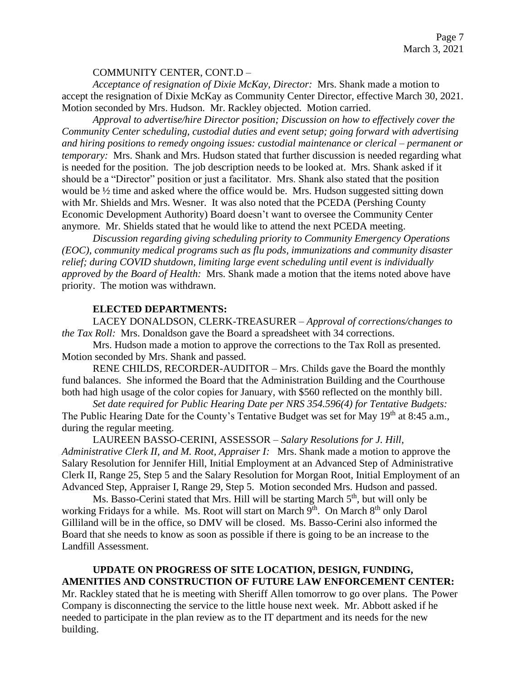### COMMUNITY CENTER, CONT.D –

*Acceptance of resignation of Dixie McKay, Director:* Mrs. Shank made a motion to accept the resignation of Dixie McKay as Community Center Director, effective March 30, 2021. Motion seconded by Mrs. Hudson. Mr. Rackley objected. Motion carried.

*Approval to advertise/hire Director position; Discussion on how to effectively cover the Community Center scheduling, custodial duties and event setup; going forward with advertising and hiring positions to remedy ongoing issues: custodial maintenance or clerical – permanent or temporary:* Mrs. Shank and Mrs. Hudson stated that further discussion is needed regarding what is needed for the position. The job description needs to be looked at. Mrs. Shank asked if it should be a "Director" position or just a facilitator. Mrs. Shank also stated that the position would be ½ time and asked where the office would be. Mrs. Hudson suggested sitting down with Mr. Shields and Mrs. Wesner. It was also noted that the PCEDA (Pershing County Economic Development Authority) Board doesn't want to oversee the Community Center anymore. Mr. Shields stated that he would like to attend the next PCEDA meeting.

*Discussion regarding giving scheduling priority to Community Emergency Operations (EOC), community medical programs such as flu pods, immunizations and community disaster relief; during COVID shutdown, limiting large event scheduling until event is individually approved by the Board of Health:* Mrs. Shank made a motion that the items noted above have priority. The motion was withdrawn.

#### **ELECTED DEPARTMENTS:**

LACEY DONALDSON, CLERK-TREASURER – *Approval of corrections/changes to the Tax Roll:* Mrs. Donaldson gave the Board a spreadsheet with 34 corrections.

Mrs. Hudson made a motion to approve the corrections to the Tax Roll as presented. Motion seconded by Mrs. Shank and passed.

RENE CHILDS, RECORDER-AUDITOR – Mrs. Childs gave the Board the monthly fund balances. She informed the Board that the Administration Building and the Courthouse both had high usage of the color copies for January, with \$560 reflected on the monthly bill.

*Set date required for Public Hearing Date per NRS 354.596(4) for Tentative Budgets:*  The Public Hearing Date for the County's Tentative Budget was set for May 19<sup>th</sup> at 8:45 a.m., during the regular meeting.

LAUREEN BASSO-CERINI, ASSESSOR – *Salary Resolutions for J. Hill, Administrative Clerk II, and M. Root, Appraiser I:* Mrs. Shank made a motion to approve the Salary Resolution for Jennifer Hill, Initial Employment at an Advanced Step of Administrative Clerk II, Range 25, Step 5 and the Salary Resolution for Morgan Root, Initial Employment of an Advanced Step, Appraiser I, Range 29, Step 5. Motion seconded Mrs. Hudson and passed.

Ms. Basso-Cerini stated that Mrs. Hill will be starting March 5<sup>th</sup>, but will only be working Fridays for a while. Ms. Root will start on March 9<sup>th</sup>. On March 8<sup>th</sup> only Darol Gilliland will be in the office, so DMV will be closed. Ms. Basso-Cerini also informed the Board that she needs to know as soon as possible if there is going to be an increase to the Landfill Assessment.

# **UPDATE ON PROGRESS OF SITE LOCATION, DESIGN, FUNDING, AMENITIES AND CONSTRUCTION OF FUTURE LAW ENFORCEMENT CENTER:**

Mr. Rackley stated that he is meeting with Sheriff Allen tomorrow to go over plans. The Power Company is disconnecting the service to the little house next week. Mr. Abbott asked if he needed to participate in the plan review as to the IT department and its needs for the new building.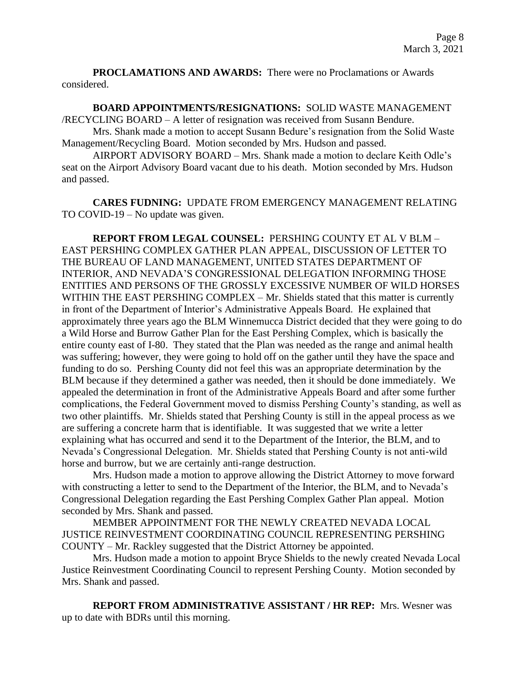**PROCLAMATIONS AND AWARDS:** There were no Proclamations or Awards considered.

**BOARD APPOINTMENTS/RESIGNATIONS:** SOLID WASTE MANAGEMENT /RECYCLING BOARD – A letter of resignation was received from Susann Bendure.

Mrs. Shank made a motion to accept Susann Bedure's resignation from the Solid Waste Management/Recycling Board. Motion seconded by Mrs. Hudson and passed.

AIRPORT ADVISORY BOARD – Mrs. Shank made a motion to declare Keith Odle's seat on the Airport Advisory Board vacant due to his death. Motion seconded by Mrs. Hudson and passed.

**CARES FUDNING:** UPDATE FROM EMERGENCY MANAGEMENT RELATING TO COVID-19 – No update was given.

**REPORT FROM LEGAL COUNSEL:** PERSHING COUNTY ET AL V BLM – EAST PERSHING COMPLEX GATHER PLAN APPEAL, DISCUSSION OF LETTER TO THE BUREAU OF LAND MANAGEMENT, UNITED STATES DEPARTMENT OF INTERIOR, AND NEVADA'S CONGRESSIONAL DELEGATION INFORMING THOSE ENTITIES AND PERSONS OF THE GROSSLY EXCESSIVE NUMBER OF WILD HORSES WITHIN THE EAST PERSHING COMPLEX – Mr. Shields stated that this matter is currently in front of the Department of Interior's Administrative Appeals Board. He explained that approximately three years ago the BLM Winnemucca District decided that they were going to do a Wild Horse and Burrow Gather Plan for the East Pershing Complex, which is basically the entire county east of I-80. They stated that the Plan was needed as the range and animal health was suffering; however, they were going to hold off on the gather until they have the space and funding to do so. Pershing County did not feel this was an appropriate determination by the BLM because if they determined a gather was needed, then it should be done immediately. We appealed the determination in front of the Administrative Appeals Board and after some further complications, the Federal Government moved to dismiss Pershing County's standing, as well as two other plaintiffs. Mr. Shields stated that Pershing County is still in the appeal process as we are suffering a concrete harm that is identifiable. It was suggested that we write a letter explaining what has occurred and send it to the Department of the Interior, the BLM, and to Nevada's Congressional Delegation. Mr. Shields stated that Pershing County is not anti-wild horse and burrow, but we are certainly anti-range destruction.

Mrs. Hudson made a motion to approve allowing the District Attorney to move forward with constructing a letter to send to the Department of the Interior, the BLM, and to Nevada's Congressional Delegation regarding the East Pershing Complex Gather Plan appeal. Motion seconded by Mrs. Shank and passed.

MEMBER APPOINTMENT FOR THE NEWLY CREATED NEVADA LOCAL JUSTICE REINVESTMENT COORDINATING COUNCIL REPRESENTING PERSHING COUNTY – Mr. Rackley suggested that the District Attorney be appointed.

Mrs. Hudson made a motion to appoint Bryce Shields to the newly created Nevada Local Justice Reinvestment Coordinating Council to represent Pershing County. Motion seconded by Mrs. Shank and passed.

 **REPORT FROM ADMINISTRATIVE ASSISTANT / HR REP:** Mrs. Wesner was up to date with BDRs until this morning.